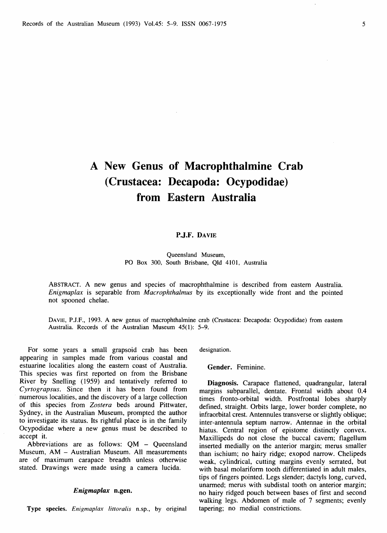# **A New Genus of Macrophthalmine Crab (Crustacea: Decapoda: Ocypodidae) from Eastern Australia**

## **P.J.F. DAVIE**

Queensland Museum, PO Box 300, South Brisbane, Qld 4101, Australia

ABSTRACT. A new genus and species of macrophthalmine is described from eastern Australia. *Enigmaplax* is separable from *Macrophthalmus* by its exceptionally wide front and the pointed not spooned chelae.

DAVIE, P.J.F., 1993. A new genus of macrophthalmine crab (Crustacea: Decapoda: Ocypodidae) from eastern Australia. Records of the Australian Museum 45(1): 5-9.

For some years a small grapsoid crab has been appearing in samples made from various coastal and estuarine localities along the eastern coast of Australia. This species was first reported on from the Brisbane River by Snelling (1959) and tentatively referred to *Cyrtograpsus.* Since then it has been found from numerous localities, and the discovery of a large collection of this species from *Zostera* beds around Pittwater, Sydney, in the Australian Museum, prompted the author to investigate its status. Its rightful place is in the family Ocypodidae where a new genus must be described to accept it.

Abbreviations are as follows: QM - Queensland Museum, AM - Australian Museum. All measurements are of maximum carapace breadth unless otherwise stated. Drawings were made using a camera lucida.

#### *Enigmaplax* **n.gen.**

Type species. *Enigmaplax littoralis* n.sp., by original

designation.

**Gender.** Feminine.

**Diagnosis.** Carapace flattened, quadrangular, lateral margins subparallel, dentate. Frontal width about 0.4 times fronto-orbital width. Postfrontal lobes sharply defined, straight. Orbits large, lower border complete, no infraorbital crest. Antennules transverse or slightly oblique; inter-antennula septum narrow. Antennae in the orbital hiatus. Central region of epistome distinctly convex. Maxillipeds do not close the buccal cavern; flagellum inserted medially on the anterior margin; merus smaller than ischium; no hairy ridge; exopod narrow. Chelipeds weak, cylindrical, cutting margins evenly serrated, but with basal molariform tooth differentiated in adult males, tips of fingers pointed. Legs slender; dactyls long, curved, unarmed; merus with subdistal tooth on anterior margin; no hairy ridged pouch between bases of first and second walking legs. Abdomen of male of 7 segments; evenly tapering; no medial constrictions.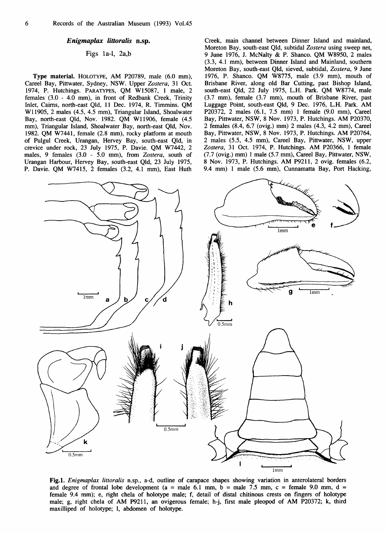## *Enigmaplax littoralis* **n.sp.**

## Figs la-1, 2a,b

**Type material.** HOLOTYPE, AM P20789, male (6.0 mm), Careel Bay, Pittwater, Sydney, NSW. Upper *Zostera,* 31 Oct. 1974, P. Hutchings. PARATYPES, QM W15087, 1 male, 2 females (3.0 - 4.0 mm), in front of Redbank Creek, Trinity Inlet, Cairns, north-east Qld, 11 Dec. 1974, R. Timmins. QM W11905, 2 males (4.5, 4.5 mm). Triangular Island, Shoalwater Bay, north-east Qld, Nov. 1982. QM W11906, female (4.5 mm), Triangular Island, Shoalwater Bay, north-east Qld, Nov. 1982. QM W7441, female (2.8 mm), rocky platform at mouth of Pulgul Creek, Urangan, Hervey Bay, south-east Qld, in crevice under rock, 23 July 1975, P. Davie. QM W7442, 2 males, 9 females (3.0 - 5.0 mm), from *Zostera,* south of Urangan Harbour, Hervey Bay, south-east Qld, 23 July 1975, P. Davie. QM W7415, 2 females (3.2, 4.1 mm). East Huth

Creek, main channel between Dinner Island and mainland, Moreton Bay, south-east Qld, subtidal *Zostera* using sweep net, 9 June 1976, J. McNalty *&.* P. Shanco. QM W8950, 2 males (3.3, 4.1 mm), between Dinner Island and Mainland, southern Moreton Bay, south-east Qld, sieved, subtidal, *Zostera, 9* June 1976, P. Shanco. QM W8775, male (3.9 mm), mouth of Brisbane River, along old Bar Cutting, past Bishop Island, south-east Qld, 22 July 1975, L.H. Park. QM W8774, male (3.7 mm), female (3.7 mm), mouth of Brisbane River, past Luggage Point, south-east Qld, 9 Dec. 1976, L.H. Park. AM P20372, 2 males (6.1, 7.5 mm) 1 female (9.0 mm), Careel Bay, Pittwater, NSW, 8 Nov. 1973, P. Hutchings. AM P20370, 2 females (8.4, 6.7 (ovig.) mm) 2 males (4.3, 4.2 mm), Careel Bay, Pittwater, NSW, 8 Nov. 1973, P. Hutchings. AM P20764, 2 males (5.5, 4.5 mm), Careel Bay, Pittwater, NSW, upper *Zostera,* 31 Oct. 1974, P. Hutchings. AM P20366, 1 female (7.7 (ovig.) mm) 1 male (5.7 mm), Careel Bay, Pittwater, NSW, 8 Nov. 1973, P. Hutchings. AM P9211, 2 ovig. females (6.2, 9.4 mm) 1 male (5.6 mm), Cunnamatta Bay, Port Hacking,



**Fig.l.** *Enigmaplax littoralis* n.sp., a-d, outline of carapace shapes showing variation in anterolateral borders and degree of frontal lobe development ( $a =$  male 6.1 mm,  $b =$  male 7.5 mm,  $c =$  female 9.0 mm,  $d =$ female 9.4 mm); e, right chela of holotype male; f, detail of distal chitinous crests on fingers of holotype male; g, right chela of AM P9211, an ovigerous female; h-j, first male pleopod of AM P20372; k, third maxilliped of holotype; 1, abdomen of holotype.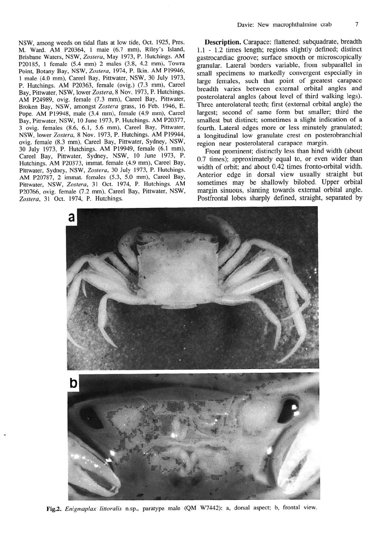NSW, among weeds on tidal flats at low tide, Oct. 1925, Pres. M. Ward. AM P20364, 1 male (6.7 mm), Riley's Island, Brisbane Waters, NSW, Zostera, May 1973, P. Hutchings. AM P20185, 1 female (5.4 mm) 2 males (3.8, 4.2 mm), Towra Point, Botany Bay, NSW, *Zostera,* 1974, P. Ikin. AM P19946, 1 male (4.0 mm), Careel Bay, Pittwater, NSW, 30 July 1973, P. Hutchings. AM P20363, female (ovig.) (7.3 mm), Careel Bay, Pittwater, NSW, lower *Zostera,* 8 Nov. 1973, P. Hutchings. AM P24989, ovig. female (7.3 mm), Careel Bay, Pittwater, Broken Bay, NSW, amongst Zostera grass, 16 Feb. 1946, E. Pope. AM P19948, male (3.4 mm), female (4.9 mm), Careel Bay, Pittwater, NSW, 10 June 1973, P. Hutchings. AM P20377, 3 ovig. females (8.6, 6.1, 5.6 mm), Careel Bay, Pittwater, NSW, lower *Zostera,* 8 Nov. 1973, P. Hutchings. AM P19944, ovig. female (8.3 mm), Careel Bay, Pittwater, Sydney, NSW, 30 July 1973, P. Hutchings. AM P19949, female (6.1 mm), Careel Bay, Pittwater, Sydney, NSW, 10 June 1973, P. Hutchings. AM P20373, immat. female (4.9 mm), Careel Bay, Pittwater, Sydney, NSW, *Zostera,* 30 July 1973, P. Hutchings. AM P20787, 2 immat. females (5.3, 5.0 mm), Careel Bay, Pittwater, NSW, Zostera, 31 Oct. 1974, P. Hutchings. AM P20766, ovig. female (7.2 mm), Careel Bay, Pittwater, NSW, Zostera, 31 Oct. 1974, P. Hutchings.

**Description.** Carapace: flattened; subquadrate, breadth 1.1 - 1.2 times length; regions slightly defined; distinct gastrocardiac groove; surface smooth or microscopically granular. Lateral borders variable, from subparallel in small specimens to markedly convergent especially in large females, such that point of greatest carapace breadth varies between external orbital angles and posterolateral angles (about level of third walking legs). Three anterolateral teeth; first (external orbital angle) the largest; second of same form but smaller; third the smallest but distinct; sometimes a slight indication of a fourth. Lateral edges more or less minutely granulated; a longitudinal low granulate crest on posterobranchial region near posterolateral carapace margin.

Front prominent; distinctly less than hind width (about 0.7 times); approximately equal to, or even wider than width of orbit; and about 0.42 times fronto-orbital width. Anterior edge in dorsal view usually straight but sometimes may be shallowly bilobed. Upper orbital margin sinuous, slanting towards external orbital angle. Postfrontal lobes sharply defined, straight, separated by



Fig.2. *Enigmaplax littoralis* n.sp., paratype male (QM W7442): a, dorsal aspect; b, frontal view.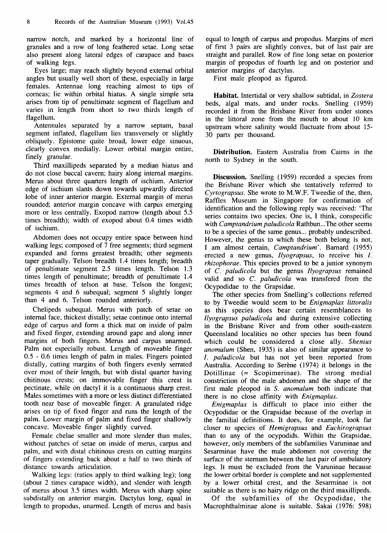narrow notch, and marked by a horizontal line of granules and a row of long feathered setae. Long setae also present along lateral edges of carapace and bases of walking legs.

Eyes large; may reach slightly beyond external orbital angles but usually well short of these, especially in large females. Antennae long reaching almost to tips of corneas; lie within orbital hiatus. A single simple seta arises from tip of penultimate segment of flagellum and varies in length from short to two thirds length of flagellum.

Antennules separated by a narrow septum, basal segment inflated, flagellum lies transversely or slightly obliquely. Epistome quite broad, lower edge sinuous, clearly convex medially. Lower orbital margin entire, finely granular.

Third maxillipeds separated by a median hiatus and do not close buccal cavern; hairy along internal margins. Merus about three quarters length of ischium. Anterior edge of ischium slants down towards upwardly directed lobe of inner anterior margin. External margin of merus rounded; anterior margin concave with carpus emerging more or less centrally. Exopod narrow (length about 5.5 times breadth); width of exopod about 0.4 times width of ischium.

Abdomen does not occupy entire space between hind walking legs; composed of 7 free segments; third segment expanded and forms greatest breadth; other segments taper gradually. Telson breadth 1.4 times length; breadth of penultimate segment 2.5 times length. Telson 1.3 times length of penultimate; breadth of penultimate 1.4 times breadth of telson at base. Telson the longest; segments 4 and 6 subequal; segment 5 slightly longer than 4 and 6. Telson rounded anteriorly.

Chelipeds subequal. Merus with patch of setae on internal face, thickest distally; setae continue onto internal edge of carpus and form a thick mat on inside of palm and fixed finger, extending around gape and along inner margins of both fingers. Merus and carpus unarmed. Palm not especially robust. Length of moveable finger 0.5 - 0.6 times length of palm in males. Fingers pointed distally, cutting margins of both fingers evenly serrated over most of their length, but with distal quarter having chitinous crests; on immovable finger this crest is pectinate, while on dactyl it is a continuous sharp crest. Males sometimes with a more or less distinct differentiated tooth near base of moveable finger. A granulated ridge arises on tip of fixed finger and runs the length of the palm. Lower margin of palm and fixed finger shallowly concave. Moveable finger slightly curved.

Female chelae smaller and more slender than males, without patches of setae on inside of merus, carpus and palm, and with distal chitinous crests on cutting margins of fingers extending back about a half to two thirds of distance towards articulation.

Walking legs: (ratios apply to third walking leg); long (about 2 times carapace width), and slender with length of merus about 3.5 times width. Merus with sharp spine subdistally on anterior margin. Dactylus long, equal in length to propodus, unarmed. Length of merus and basis

equal to length of carpus and propodus. Margins of meri of first 3 pairs are slightly convex, but of last pair are straight and parallel. Row of fine long setae on posterior margin of propodus of fourth leg and on posterior and anterior margins of dactylus.

First male pleopod as figured.

**Habitat.** Intertidal or very shallow subtidal, in *Zostera*  beds, algal mats, and under rocks. Snelling (1959) recorded it from the Brisbane River from under stones in the littoral zone from the mouth to about 10 km upstream where salinity would fluctuate from about 15- 30 parts per thousand.

**Distribution.** Eastern Australia from Cairns in the north to Sydney in the south.

**Discussion.** Snelling (1959) recorded a species from the Brisbane River which she tentatively referred to *Cyrtograpsus.* She wrote to M.W.F. Tweedie of the, then. Raffles Museum in Singapore for confirmation of identification and the following reply was received: 'The series contains two species. One is, I think, conspecific with *Camptandrium paludicola* Rathbun...The other seems to be a species of the same genus... probably undescribed. However, the genus to which these both belong is not, I am almost certain, *Camptandrium'.* Barnard (1955) erected a new genus, *Ilyograpsus,* to receive his /. *rhizophorae.* This species proved to be a junior synonym of *C. paludicola* but the genus *Ilyograpsus* remained valid and so *C. paludicola* was transfered from the Ocypodidae to the Grapsidae.

The other species from Snelling's collections referred to by Tweedie would seem to be *Enigmaplax littoralis*  as this species does bear certain resemblances to *Ilyograpsus paludicola* and during extensive collecting in the Brisbane River and from other south-eastern Queensland localities no other species has been found which could be considered a close ally. *Shenius anomalum* (Shen, 1935) is also of similar appearance to /. *paludicola* but has not yet been reported from Australia. According to Serène (1974) it belongs in the Dotillinae (= Scopimerinae). The strong medial constriction of the male abdomen and the shape of the first male pleopod in *S. anomalum* both indicate that there is no close affinity with *Enigmaplax.* 

*Enigmaplax* is difficult to place into either the Ocypodidae or the Grapsidae because of the overlap in the familial definitions. It does, for example, look far closer to species of *Hemigrapsus* and *Euchirograpsus*  than to any of the ocypodids. Within the Grapsidae, however, only members of the subfamilies Varuninae and Sesarminae have the male abdomen not covering the surface of the sternum between the last pair of ambulatory legs. It must be excluded from the Varuninae because the lower orbital border is complete and not supplemented by a lower orbital crest, and the Sesarminae is not suitable as there is no hairy ridge on the third maxillipeds.

Of the subfamilies of the Ocypodidae, the Macrophthalminae alone is suitable. Sakai (1976: 598)